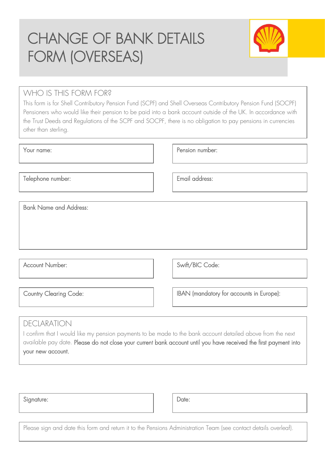# CHANGE OF BANK DETAILS FORM (OVERSEAS)



### WHO IS THIS FORM FOR?

This form is for Shell Contributory Pension Fund (SCPF) and Shell Overseas Contributory Pension Fund (SOCPF) Pensioners who would like their pension to be paid into a bank account outside of the UK. In accordance with the Trust Deeds and Regulations of the SCPF and SOCPF, there is no obligation to pay pensions in currencies other than sterling.

| Your name:                    | Pension number: |
|-------------------------------|-----------------|
| Telephone number:             | Email address:  |
|                               |                 |
| <b>Bank Name and Address:</b> |                 |
|                               |                 |
|                               |                 |
|                               |                 |
| <b>Account Number:</b>        | Swift/BIC Code: |

Country Clearing Code: Integral of the IBAN (mandatory for accounts in Europe):

## DECLARATION

I confirm that I would like my pension payments to be made to the bank account detailed above from the next available pay date. Please do not close your current bank account until you have received the first payment into your new account.

| Signature: |  | Date: |
|------------|--|-------|
|            |  |       |

Please sign and date this form and return it to the Pensions Administration Team (see contact details overleaf).